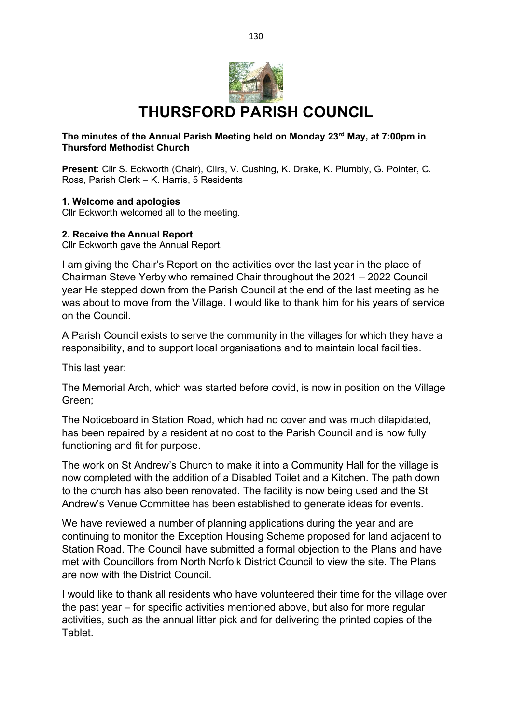

# **THURSFORD PARISH COUNCIL**

## **The minutes of the Annual Parish Meeting held on Monday 23rd May, at 7:00pm in Thursford Methodist Church**

**Present**: Cllr S. Eckworth (Chair), Cllrs, V. Cushing, K. Drake, K. Plumbly, G. Pointer, C. Ross, Parish Clerk – K. Harris, 5 Residents

#### **1. Welcome and apologies**

Cllr Eckworth welcomed all to the meeting.

#### **2. Receive the Annual Report**

Cllr Eckworth gave the Annual Report.

I am giving the Chair's Report on the activities over the last year in the place of Chairman Steve Yerby who remained Chair throughout the 2021 – 2022 Council year He stepped down from the Parish Council at the end of the last meeting as he was about to move from the Village. I would like to thank him for his years of service on the Council.

A Parish Council exists to serve the community in the villages for which they have a responsibility, and to support local organisations and to maintain local facilities.

This last year:

The Memorial Arch, which was started before covid, is now in position on the Village Green;

The Noticeboard in Station Road, which had no cover and was much dilapidated, has been repaired by a resident at no cost to the Parish Council and is now fully functioning and fit for purpose.

The work on St Andrew's Church to make it into a Community Hall for the village is now completed with the addition of a Disabled Toilet and a Kitchen. The path down to the church has also been renovated. The facility is now being used and the St Andrew's Venue Committee has been established to generate ideas for events.

We have reviewed a number of planning applications during the year and are continuing to monitor the Exception Housing Scheme proposed for land adjacent to Station Road. The Council have submitted a formal objection to the Plans and have met with Councillors from North Norfolk District Council to view the site. The Plans are now with the District Council.

I would like to thank all residents who have volunteered their time for the village over the past year – for specific activities mentioned above, but also for more regular activities, such as the annual litter pick and for delivering the printed copies of the **Tablet**